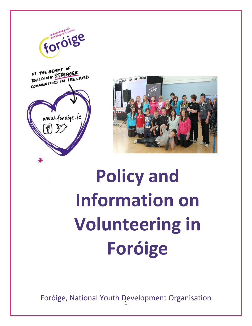

for orge



# **Policy and Information on Volunteering in Foróige**

Foróige, National Youth Development Organisation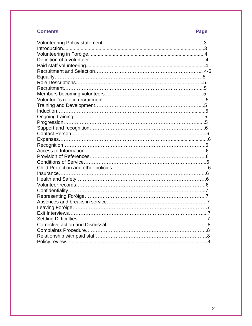## **Contents** Page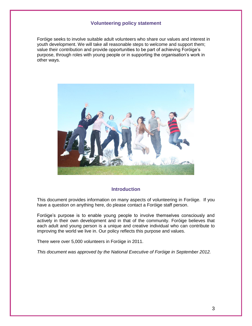### **Volunteering policy statement**

Foróige seeks to involve suitable adult volunteers who share our values and interest in youth development. We will take all reasonable steps to welcome and support them; value their contribution and provide opportunities to be part of achieving Foróige's purpose, through roles with young people or in supporting the organisation's work in other ways.



#### **Introduction**

This document provides information on many aspects of volunteering in Foróige. If you have a question on anything here, do please contact a Foróige staff person.

Foróige's purpose is to enable young people to involve themselves consciously and actively in their own development and in that of the community. Foróige believes that each adult and young person is a unique and creative individual who can contribute to improving the world we live in. Our policy reflects this purpose and values.

There were over 5,000 volunteers in Foróige in 2011.

*This document was approved by the National Executive of Foróige in September 2012.*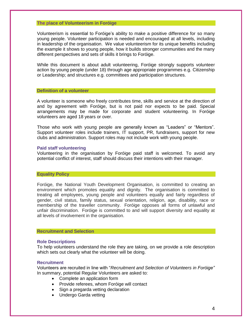#### **The place of Volunteerism in Foróige**

Volunteerism is essential to Foróige's ability to make a positive difference for so many young people. Volunteer participation is needed and encouraged at all levels, including in leadership of the organisation. We value volunteerism for its unique benefits including the example it shows to young people, how it builds stronger communities and the many different perspectives and sets of skills it brings to Foróige.

While this document is about adult volunteering, Foróige strongly supports volunteer action by young people (under 18) through age appropriate programmes e.g. Citizenship or Leadership; and structures e.g. committees and participation structures.

#### **Definition of a volunteer**

A volunteer is someone who freely contributes time, skills and service at the direction of and by agreement with Foróige, but is not paid nor expects to be paid. Special arrangements may be made for corporate and student volunteering. In Foróige volunteers are aged 18 years or over.

Those who work with young people are generally known as "Leaders" or "Mentors". Support volunteer roles include trainers, IT support, PR, fundraisers, support for new clubs and administration. Support roles may not include work with young people.

#### **Paid staff volunteering**

Volunteering in the organisation by Foróige paid staff is welcomed. To avoid any potential conflict of interest, staff should discuss their intentions with their manager.

#### **Equality Policy**

Foróige, the National Youth Development Organisation, is committed to creating an environment which promotes equality and dignity. The organisation is committed to treating all employees, young people and volunteers equally and fairly regardless of gender, civil status, family status, sexual orientation, religion, age, disability, race or membership of the traveller community. Foróige opposes all forms of unlawful and unfair discrimination. Foróige is committed to and will support diversity and equality at all levels of involvement in the organisation.

#### **Recruitment and Selection**

#### **Role Descriptions**

To help volunteers understand the role they are taking, on we provide a role description which sets out clearly what the volunteer will be doing.

#### **Recruitment**

Volunteers are recruited in line with "*Recruitment and Selection of Volunteers in Foróige"* In summary, potential Regular Volunteers are asked to:

- Complete an application form
- Provide referees, whom Foróige will contact
- Sign a pregarda vetting declaration
- Undergo Garda vetting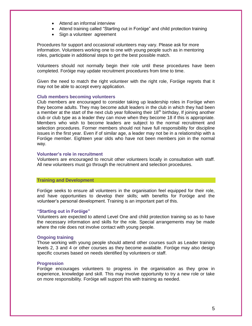- Attend an informal interview
- Attend training called "Starting out in Foróige" and child protection training
- Sign a volunteer agreement

Procedures for support and occasional volunteers may vary. Please ask for more information. Volunteers working one to one with young people such as in mentoring roles, participate in additional steps to get the best possible match.

Volunteers should not normally begin their role until these procedures have been completed. Foróige may update recruitment procedures from time to time.

Given the need to match the right volunteer with the right role, Foróige regrets that it may not be able to accept every application.

#### **Club members becoming volunteers**

Club members are encouraged to consider taking up leadership roles in Foróige when they become adults. They may become adult leaders in the club in which they had been a member at the start of the next club year following their  $18<sup>th</sup>$  birthday, If joining another club or club type as a leader they can move when they become 18 if this is appropriate. Members who wish to become leaders are subject to the normal recruitment and selection procedures. Former members should not have full responsibility for discipline issues in the first year. Even if of similar age, a leader may not be in a relationship with a Foróige member. Eighteen year olds who have not been members join in the normal way.

#### **Volunteer's role in recruitment**

Volunteers are encouraged to recruit other volunteers locally in consultation with staff. All new volunteers must go through the recruitment and selection procedures.

#### **Training and Development**

Foróige seeks to ensure all volunteers in the organisation feel equipped for their role, and have opportunities to develop their skills; with benefits for Foróige and the volunteer's personal development. Training is an important part of this.

#### **"Starting out in Foróige"**

Volunteers are expected to attend Level One and child protection training so as to have the necessary information and skills for the role. Special arrangements may be made where the role does not involve contact with young people.

#### **Ongoing training**

Those working with young people should attend other courses such as Leader training levels 2, 3 and 4 or other courses as they become available. Foróige may also design specific courses based on needs identified by volunteers or staff.

#### **Progression**

Foróige encourages volunteers to progress in the organisation as they grow in experience, knowledge and skill. This may involve opportunity to try a new role or take on more responsibility. Foróige will support this with training as needed.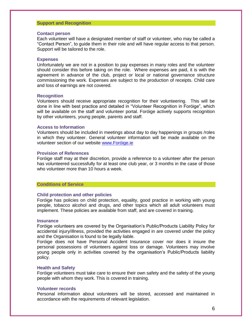#### **Support and Recognition**

#### **Contact person**

Each volunteer will have a designated member of staff or volunteer, who may be called a "Contact Person", to guide them in their role and will have regular access to that person. Support will be tailored to the role.

#### **Expenses**

Unfortunately we are not in a position to pay expenses in many roles and the volunteer should consider this before taking on the role. Where expenses are paid, it is with the agreement in advance of the club, project or local or national governance structure commissioning the work. Expenses are subject to the production of receipts. Child care and loss of earnings are not covered.

#### **Recognition**

Volunteers should receive appropriate recognition for their volunteering. This will be done in line with best practice and detailed in "Volunteer Recognition in Foróige", which will be available on the staff and volunteer portal. Foróige actively supports recognition by other volunteers, young people, parents and staff.

#### **Access to Information**

Volunteers should be included in meetings about day to day happenings in groups /roles in which they volunteer. General volunteer information will be made available on the volunteer section of our website [www.Foróige.ie](http://www.foroige.ie/)

#### **Provision of References**

Foróige staff may at their discretion, provide a reference to a volunteer after the person has volunteered successfully for at least one club year, or 3 months in the case of those who volunteer more than 10 hours a week.

#### **Conditions of Service**

#### **Child protection and other policies**

Foróige has policies on child protection, equality, good practice in working with young people, tobacco alcohol and drugs, and other topics which all adult volunteers must implement. These policies are available from staff, and are covered in training.

#### **Insurance**

Foróige volunteers are covered by the Organisation's Public/Products Liability Policy for accidental injury/illness, provided the activities engaged in are covered under the policy and the Organisation is found to be legally liable.

Foróige does not have Personal Accident Insurance cover nor does it insure the personal possessions of volunteers against loss or damage. Volunteers may involve young people only in activities covered by the organisation's Public/Products liability policy.

#### **Health and Safety**

Foróige volunteers must take care to ensure their own safety and the safety of the young people with whom they work. This is covered in training.

#### **Volunteer records**

Personal information about volunteers will be stored, accessed and maintained in accordance with the requirements of relevant legislation.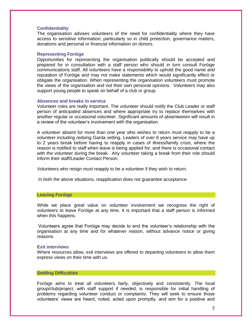#### **Confidentiality**

The organisation advises volunteers of the need for confidentiality where they have access to sensitive information; particularly so in child protection, governance matters, donations and personal or financial information on donors.

#### **Representing Foróige**

Opportunities for representing the organisation publically should be accepted and prepared for in consultation with a staff person who should in turn consult Foróige communications staff. All volunteers have a responsibility to uphold the good name and reputation of Foróige and may not make statements which would significantly effect or obligate the organisation. When representing the organisation volunteers must promote the views of the organisation and not their own personal opinions. Volunteers may also support young people to speak on behalf of a club or group.

#### **Absences and breaks in service**

Volunteer roles are really important. The volunteer should notify the Club Leader or staff person of anticipated absences and where appropriate try to replace themselves with another regular or occasional volunteer. Significant amounts of absenteeism will result in a review of the volunteer's involvement with the organisation.

A volunteer absent for more than one year who wishes to return must reapply to be a volunteer including redoing Garda vetting. Leaders of over 8 years service may have up to 2 years break before having to reapply in cases of illness/family crisis, where the reason is notified to staff when leave is being applied for; and there is occasional contact with the volunteer during the break. Any volunteer taking a break from their role should inform their staff/Leader Contact Person.

Volunteers who resign must reapply to be a volunteer if they wish to return.

In both the above situations, reapplication does not guarantee acceptance.

#### **Leaving Foróige**

While we place great value on volunteer involvement we recognise the right of volunteers to leave Foróige at any time. It is important that a staff person is informed when this happens.

Volunteers agree that Foróige may decide to end the volunteer's relationship with the organisation at any time and for whatever reason, without advance notice or giving reasons.

#### **Exit interviews**

Where resources allow, exit interviews are offered to departing volunteers to allow them express views on their time with us.

#### **Settling Difficulties**

Foróige aims to treat all volunteers fairly, objectively and consistently. The local group/club/project, with staff support if needed, is responsible for initial handling of problems regarding volunteer conduct or complaints. They will seek to ensure those volunteers' views are heard, noted, acted upon promptly, and aim for a positive and